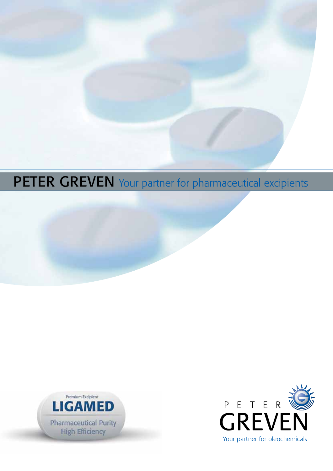# PETER GREVEN Your partner for pharmaceutical excipients





Your partner for oleochemicals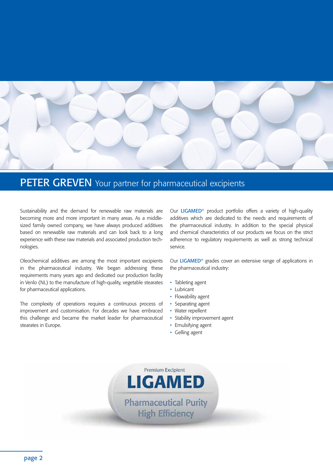

# PETER GREVEN Your partner for pharmaceutical excipients

Sustainability and the demand for renewable raw materials are becoming more and more important in many areas. As a middlesized family owned company, we have always produced additives based on renewable raw materials and can look back to a long experience with these raw materials and associated production technologies.

Oleochemical additives are among the most important excipients in the pharmaceutical industry. We began addressing these requirements many years ago and dedicated our production facility in Venlo (NL) to the manufacture of high-quality, vegetable stearates for pharmaceutical applications.

The complexity of operations requires a continuous process of improvement and customisation. For decades we have embraced this challenge and became the market leader for pharmaceutical stearates in Europe.

Our LIGAMED® product portfolio offers a variety of high-quality additives which are dedicated to the needs and requirements of the pharmaceutical industry. In addition to the special physical and chemical characteristics of our products we focus on the strict adherence to regulatory requirements as well as strong technical service.

Our LIGAMED® grades cover an extensive range of applications in the pharmaceutical industry:

- Tableting agent
- Lubricant
- Flowability agent
- Separating agent
- Water repellent
- Stability improvement agent
- Emulsifying agent
- Gelling agent

Premium Excipient **LIGAMED** 

**Pharmaceutical Purity High Efficiency**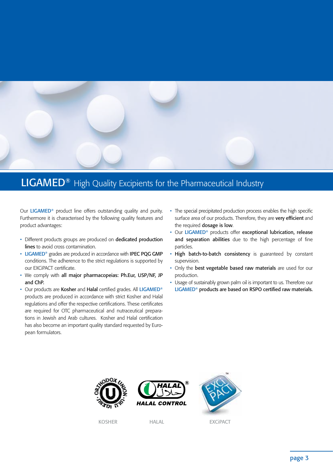

# LIGAMED<sup>®</sup> High Quality Excipients for the Pharmaceutical Industry

Our LIGAMED® product line offers outstanding quality and purity. Furthermore it is characterised by the following quality features and product advantages:

- Different products groups are produced on dedicated production lines to avoid cross contamination.
- LIGAMED<sup>®</sup> grades are produced in accordance with IPEC PQG GMP conditions. The adherence to the strict regulations is supported by our EXCiPACT certificate.
- We comply with all major pharmacopeias: Ph.Eur, USP/NF, JP and ChP.
- Our products are Kosher and Halal certified grades. All LIGAMED® products are produced in accordance with strict Kosher and Halal regulations and offer the respective certifications. These certificates are required for OTC pharmaceutical and nutraceutical preparations in Jewish and Arab cultures. Kosher and Halal certification has also become an important quality standard requested by European formulators.
- The special precipitated production process enables the high specific surface area of our products. Therefore, they are **very efficient** and the required dosage is low.
- Our LIGAMED® products offer exceptional lubrication, release and separation abilities due to the high percentage of fine particles.
- High batch-to-batch consistency is guaranteed by constant supervision.
- Only the best vegetable based raw materials are used for our production.
- Usage of sustainably grown palm oil is important to us. Therefore our LIGAMED® products are based on RSPO certified raw materials.







KOSHER HALAL EXCiPACT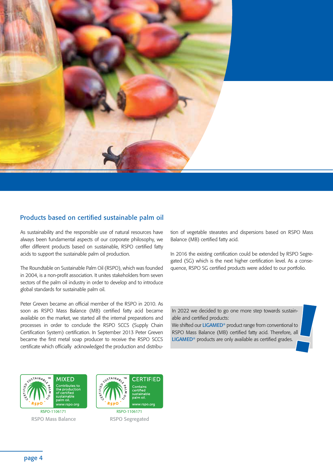

### Products based on certified sustainable palm oil

As sustainability and the responsible use of natural resources have always been fundamental aspects of our corporate philosophy, we offer different products based on sustainable, RSPO certified fatty acids to support the sustainable palm oil production.

The Roundtable on Sustainable Palm Oil (RSPO), which was founded in 2004, is a non-profit association. It unites stakeholders from seven sectors of the palm oil industry in order to develop and to introduce global standards for sustainable palm oil.

Peter Greven became an official member of the RSPO in 2010. As soon as RSPO Mass Balance (MB) certified fatty acid became available on the market, we started all the internal preparations and processes in order to conclude the RSPO SCCS (Supply Chain Certification System) certification. In September 2013 Peter Greven became the first metal soap producer to receive the RSPO SCCS certificate which officially acknowledged the production and distribu-

tion of vegetable stearates and dispersions based on RSPO Mass Balance (MB) certified fatty acid.

In 2016 the existing certification could be extended by RSPO Segregated (SG) which is the next higher certification level. As a consequence, RSPO SG certified products were added to our portfolio.

In 2022 we decided to go one more step towards sustainable and certified products:

We shifted our LIGAMED® product range from conventional to RSPO Mass Balance (MB) certified fatty acid. Therefore, all LIGAMED® products are only available as certified grades.



RSPO-1106171 RSPO Mass Balance RSPO Segregated

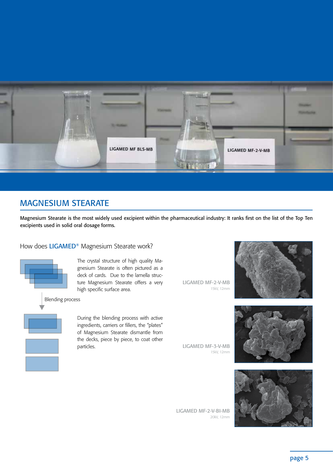

# MAGNESIUM STEARATE

Magnesium Stearate is the most widely used excipient within the pharmaceutical industry: It ranks first on the list of the Top Ten excipients used in solid oral dosage forms.

### How does LIGAMED<sup>®</sup> Magnesium Stearate work?



The crystal structure of high quality Magnesium Stearate is often pictured as a deck of cards. Due to the lamella structure Magnesium Stearate offers a very high specific surface area.

During the blending process with active ingredients, carriers or fillers, the "plates" of Magnesium Stearate dismantle from the decks, piece by piece, to coat other particles.

LIGAMED MF-2-V-MB 15kV, 12mm



LIGAMED MF-3-V-MB 15kV, 12mm



LIGAMED MF-2-V-BI-MB 20kV, 12mm

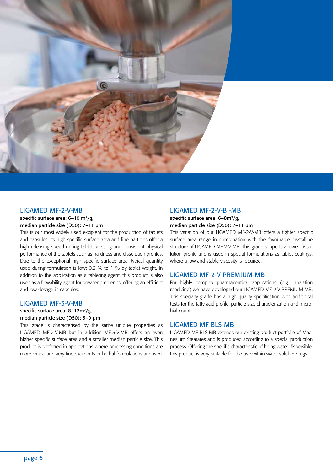

#### LIGAMED MF-2-V-MB

specific surface area:  $6-10$  m<sup>2</sup>/g, median particle size (D50): 7–11 μm

This is our most widely used excipient for the production of tablets and capsules. Its high specific surface area and fine particles offer a high releasing speed during tablet pressing and consistent physical performance of the tablets such as hardness and dissolution profiles. Due to the exceptional high specific surface area, typical quantity used during formulation is low: 0,2 % to 1 % by tablet weight. In addition to the application as a tableting agent, this product is also used as a flowability agent for powder preblends, offering an efficient and low dosage in capsules.

#### LIGAMED MF-3-V-MB

#### specific surface area:  $8-12m^2/g$ , median particle size (D50): 5–9 μm

This grade is characterised by the same unique properties as LIGAMED MF-2-V-MB but in addition MF-3-V-MB offers an even higher specific surface area and a smaller median particle size. This product is preferred in applications where processing conditions are more critical and very fine excipients or herbal formulations are used.

#### LIGAMED MF-2-V-BI-MB

#### specific surface area: 6-8m<sup>2</sup>/g, median particle size (D50): 7–11 μm

This variation of our LIGAMED MF-2-V-MB offers a tighter specific surface area range in combination with the favourable crystalline structure of LIGAMED MF-2-V-MB. This grade supports a lower dissolution profile and is used in special formulations as tablet coatings, where a low and stable viscosity is required.

#### LIGAMED MF-2-V PREMIUM-MB

For highly complex pharmaceutical applications (e.g. inhalation medicine) we have developed our LIGAMED MF-2-V PREMIUM-MB. This specialty grade has a high quality specification with additional tests for the fatty acid profile, particle size characterization and microbial count.

#### LIGAMED MF BLS-MB

LIGAMED MF BLS-MB extends our existing product portfolio of Magnesium Stearates and is produced according to a special production process. Offering the specific characteristic of being water dispersible, this product is very suitable for the use within water-soluble drugs.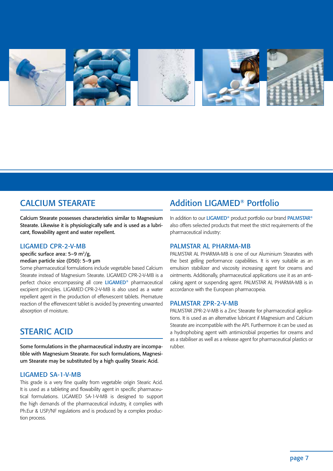

# CALCIUM STEARATE

Calcium Stearate possesses characteristics similar to Magnesium Stearate. Likewise it is physiologically safe and is used as a lubricant, flowability agent and water repellent.

#### LIGAMED CPR-2-V-MB

specific surface area:  $5-9 \text{ m}^2/\text{g}$ , median particle size (D50): 5–9 μm

Some pharmaceutical formulations include vegetable based Calcium Stearate instead of Magnesium Stearate. LIGAMED CPR-2-V-MB is a perfect choice encompassing all core LIGAMED® pharmaceutical excipient principles. LIGAMED CPR-2-V-MB is also used as a water repellent agent in the production of effervescent tablets. Premature reaction of the effervescent tablet is avoided by preventing unwanted absorption of moisture.

## STEARIC ACID

Some formulations in the pharmaceutical industry are incompatible with Magnesium Stearate. For such formulations, Magnesium Stearate may be substituted by a high quality Stearic Acid.

#### LIGAMED SA-1-V-MB

This grade is a very fine quality from vegetable origin Stearic Acid. It is used as a tableting and flowability agent in specific pharmaceutical formulations. LIGAMED SA-1-V-MB is designed to support the high demands of the pharmaceutical industry, it complies with Ph.Eur & USP/NF regulations and is produced by a complex production process.

# Addition LIGAMED® Portfolio

In addition to our LIGAMED® product portfolio our brand PALMSTAR® also offers selected products that meet the strict requirements of the pharmaceutical industry:

#### PALMSTAR AL PHARMA-MB

PALMSTAR AL PHARMA-MB is one of our Aluminium Stearates with the best gelling performance capabilities. It is very suitable as an emulsion stabilizer and viscosity increasing agent for creams and ointments. Additionally, pharmaceutical applications use it as an anticaking agent or suspending agent. PALMSTAR AL PHARMA-MB is in accordance with the European pharmacopeia.

#### PALMSTAR ZPR-2-V-MB

PALMSTAR ZPR-2-V-MB is a Zinc Stearate for pharmaceutical applications. It is used as an alternative lubricant if Magnesium and Calcium Stearate are incompatible with the API. Furthermore it can be used as a hydrophobing agent with antimicrobial properties for creams and as a stabiliser as well as a release agent for pharmaceutical plastics or rubber.